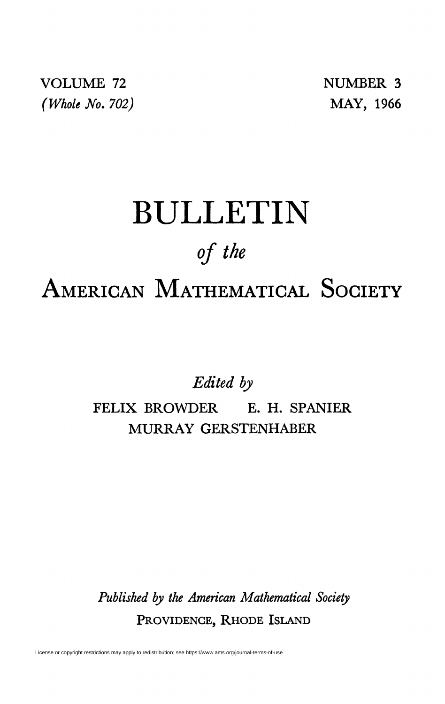VOLUME 72 NUMBER 3 *(Whole No. 702)* MAY, 1966

## BULLETIN *of the*  AMERICAN MATHEMATICAL SOCIETY

*Edited by* 

FELIX BROWDER E. H. SPANIER MURRAY GERSTENHABER

*Published by the American Mathematical Society*  PROVIDENCE, RHODE ISLAND

License or copyright restrictions may apply to redistribution; see https://www.ams.org/journal-terms-of-use